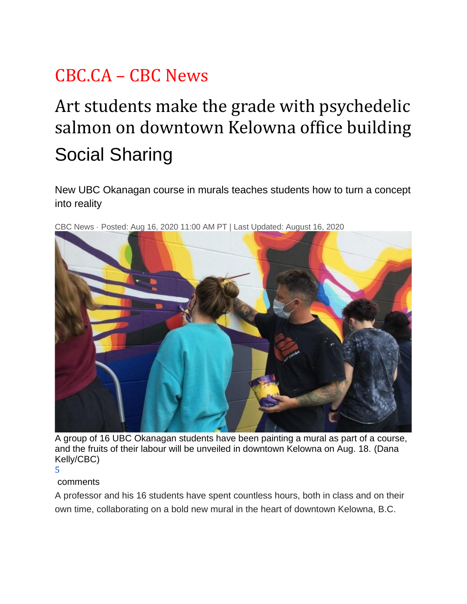## CBC.CA – CBC News

## Art students make the grade with psychedelic salmon on downtown Kelowna office building Social Sharing

New UBC Okanagan course in murals teaches students how to turn a concept into reality



CBC News · Posted: Aug 16, 2020 11:00 AM PT | Last Updated: August 16, 2020

A group of 16 UBC Okanagan students have been painting a mural as part of a course, and the fruits of their labour will be unveiled in downtown Kelowna on Aug. 18. (Dana Kelly/CBC)

5

## comments

A professor and his 16 students have spent countless hours, both in class and on their own time, collaborating on a bold new mural in the heart of downtown Kelowna, B.C.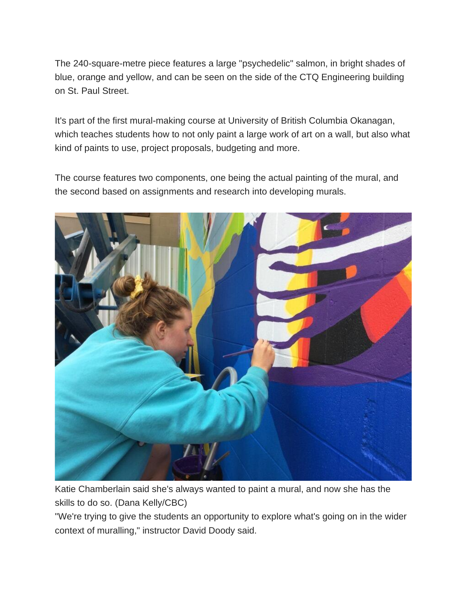The 240-square-metre piece features a large "psychedelic" salmon, in bright shades of blue, orange and yellow, and can be seen on the side of the CTQ Engineering building on St. Paul Street.

It's part of the first mural-making course at University of British Columbia Okanagan, which teaches students how to not only paint a large work of art on a wall, but also what kind of paints to use, project proposals, budgeting and more.

The course features two components, one being the actual painting of the mural, and the second based on assignments and research into developing murals.



Katie Chamberlain said she's always wanted to paint a mural, and now she has the skills to do so. (Dana Kelly/CBC)

"We're trying to give the students an opportunity to explore what's going on in the wider context of muralling," instructor David Doody said.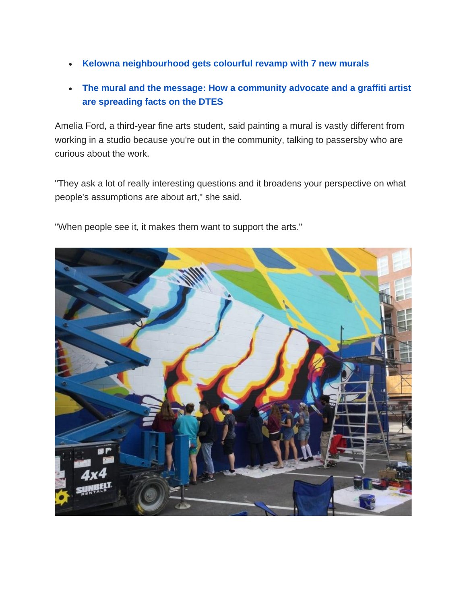- **[Kelowna neighbourhood gets colourful revamp with 7 new murals](https://www.cbc.ca/news/canada/british-columbia/kelowna-rutland-colourful-revamp-seven-new-murals-1.5258675)**
- **[The mural and the message: How a community advocate and a graffiti artist](https://www.cbc.ca/news/canada/british-columbia/the-mural-and-the-message-how-a-community-advocate-and-a-graffiti-artist-are-spreading-facts-on-the-dtes-1.5524756)  [are spreading facts on the DTES](https://www.cbc.ca/news/canada/british-columbia/the-mural-and-the-message-how-a-community-advocate-and-a-graffiti-artist-are-spreading-facts-on-the-dtes-1.5524756)**

Amelia Ford, a third-year fine arts student, said painting a mural is vastly different from working in a studio because you're out in the community, talking to passersby who are curious about the work.

"They ask a lot of really interesting questions and it broadens your perspective on what people's assumptions are about art," she said.

"When people see it, it makes them want to support the arts."